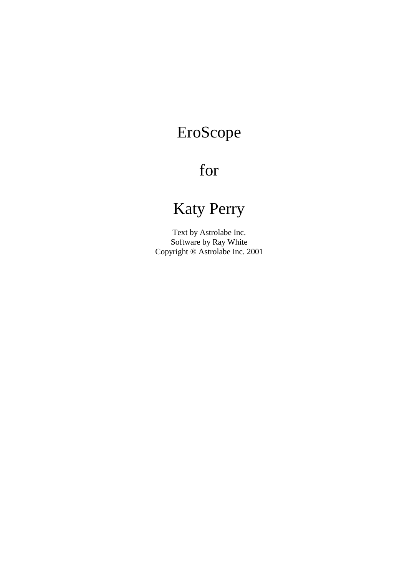# EroScope

# for

# Katy Perry

Text by Astrolabe Inc. Software by Ray White Copyright ® Astrolabe Inc. 2001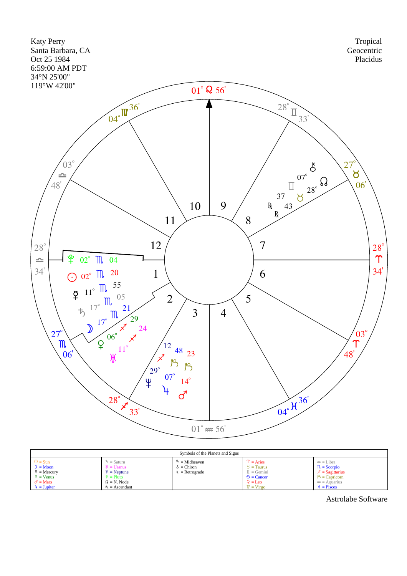

| Symbols of the Planets and Signs                                                                              |                                                                                                                                          |                                                          |                                                                                                                                                         |                                                                                                                                    |  |  |  |  |
|---------------------------------------------------------------------------------------------------------------|------------------------------------------------------------------------------------------------------------------------------------------|----------------------------------------------------------|---------------------------------------------------------------------------------------------------------------------------------------------------------|------------------------------------------------------------------------------------------------------------------------------------|--|--|--|--|
| $\odot$ = Sun<br>$D = Moon$<br>$\Phi =$ Mercury<br>$\frac{6}{2}$ = Venus<br>$\sigma' =$ Mars<br>$4 = Jupiter$ | $\bar{D}$ = Saturn<br>$\mathcal{H} =$ Uranus<br>$\frac{4}{2}$ = Neptune<br>$\hat{z}$ = Pluto<br>$\Omega = N$ . Node<br>$A_s =$ Ascendant | $M_c = Midheaven$<br>$\delta$ = Chiron<br>$=$ Retrograde | $T = \text{Aries}$<br>$\delta$ = Taurus<br>$\mathbb{I} =$ Gemini<br>$\odot$ = Cancer<br>$\Omega = \text{Leo}$<br>$\mathbf{W} = \mathbf{Vir}\mathbf{go}$ | $=$ = Libra<br>$\mathbb{R}$ = Scorpio<br>$\chi$ = Sagittarius<br>$\mathcal{P}$ = Capricorn<br>$\infty$ = Aquarius<br>$H = P$ isces |  |  |  |  |

Astrolabe Software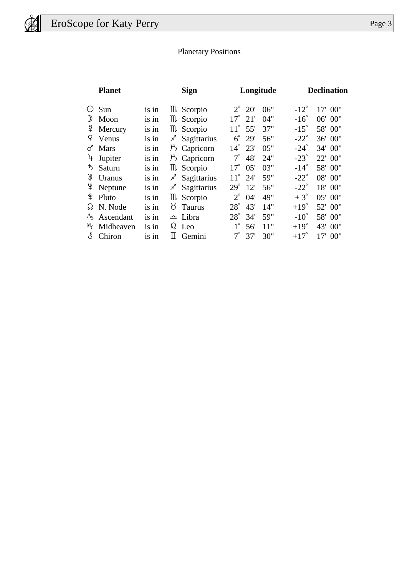# Planetary Positions

|               | <b>Planet</b> |       |    | <b>Sign</b>        |              | Longitude |     |               | <b>Declination</b> |  |  |
|---------------|---------------|-------|----|--------------------|--------------|-----------|-----|---------------|--------------------|--|--|
| $(\cdot)$     | Sun           | is in |    | <b>III</b> Scorpio | $2^{\circ}$  | 20'       | 06" | $-12^{\circ}$ | 17' 00"            |  |  |
| $\mathcal{D}$ | Moon          | is in |    | m Scorpio          | $17^{\circ}$ | 21'       | 04" | $-16^\circ$   | 06' 00"            |  |  |
| ¥.            | Mercury       | is in |    | m Scorpio          | $11^{\circ}$ | 55'       | 37" | $-15^\circ$   | 58' 00"            |  |  |
| ¥.            | Venus         | is in | Χ  | Sagittarius        | $6^{\circ}$  | 29'       | 56" | $-22^\circ$   | 36' 00"            |  |  |
| ♂             | <b>Mars</b>   | is in | ၂၅ | Capricorn          | $14^{\circ}$ | 23'       | 05" | $-24^\circ$   | 34' 00"            |  |  |
| 4             | Jupiter       | is in |    | B Capricorn        | $7^\circ$    | 48'       | 24" | $-23^\circ$   | 22' 00"            |  |  |
| ち             | Saturn        | is in |    | m Scorpio          | $17^{\circ}$ | 05'       | 03" | $-14^\circ$   | 58' 00"            |  |  |
| Ж             | Uranus        | is in | Ρ  | Sagittarius        | $11^{\circ}$ | 24'       | 59" | $-22^\circ$   | 08' 00"            |  |  |
| ¥             | Neptune       | is in | Χ  | Sagittarius        | $29^\circ$   | 12'       | 56" | $-22^\circ$   | 18' 00"            |  |  |
| L,            | Pluto         | is in |    | <b>III</b> Scorpio | $2^{\circ}$  | 04'       | 49" | $+3^\circ$    | 05' 00"            |  |  |
| 73            | N. Node       | is in | ŏ  | Taurus             | $28^\circ$   | 43'       | 14" | $+19^\circ$   | 52' 00"            |  |  |
| $A_{S}$       | Ascendant     | is in |    | $\triangle$ Libra  | $28^\circ$   | 34'       | 59" | $-10^{\circ}$ | 58' 00"            |  |  |
| $M_C$         | Midheaven     | is in |    | $\Omega$ Leo       | $1^{\circ}$  | 56'       | 11" | $+19^\circ$   | 43' 00"            |  |  |
| δ.            | Chiron        | is in | П  | Gemini             | $7^\circ$    | 37'       | 30" | $+17^\circ$   | 17' 00"            |  |  |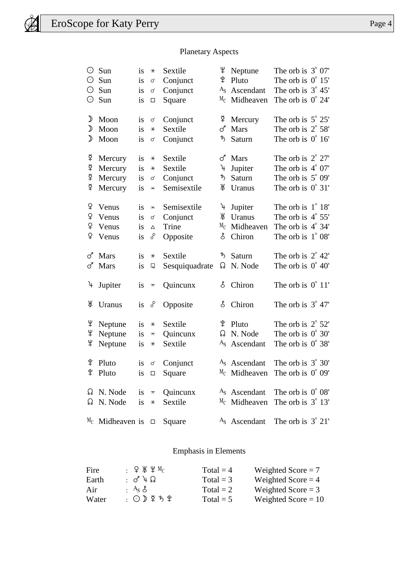$\circledR$ 

# Planetary Aspects

| ⊙             | Sun                       | is     | $\ast$                  | Sextile          | Ψ       | Neptune                  | The orb is $3^{\circ}$ 07'           |  |
|---------------|---------------------------|--------|-------------------------|------------------|---------|--------------------------|--------------------------------------|--|
| 0             | Sun                       | is     | σ                       | Conjunct         | ิ¥      | Pluto                    | The orb is $0^{\circ}$ 15'           |  |
| ⊙             | Sun                       | is     | ♂                       | Conjunct         | $A_{S}$ | Ascendant                | The orb is $3^{\circ}$ 45'           |  |
| 0             | Sun                       | is     | $\Box$                  | Square           | $M_{C}$ | Midheaven                | The orb is $0^{\circ} 24'$           |  |
| ♪             | Moon                      | is     | ♂                       | Conjunct         | ₫       | Mercury                  | The orb is $5^{\circ} 25'$           |  |
| ♪             | Moon                      | is     | $\ast$                  | Sextile          | ♂       | <b>Mars</b>              | The orb is $2^{\circ}$ 58'           |  |
| ♪             | Moon                      | is     | $\sigma$                | Conjunct         | ゎ       | Saturn                   | The orb is $0^{\circ} 16'$           |  |
| ₽             | Mercury                   | is     | $\star$                 | Sextile          | ♂       | Mars                     | The orb is $2^{\circ} 27'$           |  |
| ₫             | Mercury                   | is     | $\ast$                  | Sextile          | λŀ      | Jupiter                  | The orb is $4^{\circ}$ 07'           |  |
| ₽             | Mercury                   | is     | σ                       | Conjunct         | ゎ       | Saturn                   | The orb is $5^{\circ}$ 09'           |  |
| ₫             | Mercury                   | is     | $\pmb{\times}$          | Semisextile      | Ж       | Uranus                   | The orb is $0^{\circ}$ 31'           |  |
| ¥             | Venus                     | is     | Y                       | Semisextile      | 4       | Jupiter                  | The orb is $1^\circ 18'$             |  |
| ¥             | Venus                     | is     | ♂                       | Conjunct         | Ж       | Uranus                   | The orb is $4^\circ 55'$             |  |
| ¥             | Venus                     | is     | $\Delta$                | Trine            | $M_{C}$ | Midheaven                | The orb is $4^\circ$ 34'             |  |
| ¥             | Venus                     | is     | ୃ                       | Opposite         | ර්      | Chiron                   | The orb is $1^{\circ}$ 08'           |  |
| ♂             | Mars                      | is     | $\star$                 | Sextile          | ゎ       | Saturn                   | The orb is $2^{\circ}$ 42'           |  |
| ♂             | Mars                      | is     | Q                       | Sesquiquadrate   | ᠺ       | N. Node                  | The orb is $0^{\circ}$ 40'           |  |
| $\mathcal{A}$ | Jupiter                   | is     | $\overline{\mathbf{x}}$ | Quincunx         | Š       | Chiron                   | The orb is $0^{\circ}$ 11'           |  |
| Ж             | Uranus                    | is     | ୄୄ                      | Opposite         | ර්      | Chiron                   | The orb is $3^{\circ}$ 47'           |  |
| Ψ             | Neptune                   | is     | $\ast$                  | Sextile          | ុ្      | Pluto                    | The orb is $2^{\circ}$ 52'           |  |
| Ψ             | Neptune                   | is     | $\boldsymbol{\pi}$      | Quincunx         | ᠺ       | N. Node                  | The orb is $0^{\circ}$ 30'           |  |
| Ψ             | Neptune                   | is     | $\star$                 | Sextile          | $A_{S}$ | Ascendant                | The orb is $0^{\circ}$ 38'           |  |
| ิ¥            | Pluto                     | is     | $\sigma$                | Conjunct         |         | $AS$ Ascendant           | The orb is $3^\circ 30'$             |  |
|               | $\mathcal{L}$ Pluto       |        |                         | is $\Box$ Square |         |                          | $^{M_C}$ Midheaven The orb is 0° 09' |  |
|               | $\Omega$ N. Node          |        | is $\pi$                | Quincunx         |         | $AS$ Ascendant           | The orb is $0^{\circ} 08'$           |  |
|               | $\Omega$ N. Node          | is $*$ |                         | Sextile          |         | $M_C$ Midheaven          | The orb is $3^{\circ}$ 13'           |  |
|               | $M_C$ Midheaven is $\Box$ |        |                         | Square           |         | A <sub>s</sub> Ascendant | The orb is $3^{\circ}$ 21'           |  |

# Emphasis in Elements

| Fire  | $\cdot$ ФЖЧМ $_{\rm C}$ | Total = $4$ | Weighted Score $= 7$  |
|-------|-------------------------|-------------|-----------------------|
| Earth | $: d + \Omega$          | Total $=$ 3 | Weighted Score $=$ 4  |
| Air   | $A_S$ $A_S$             | Total = $2$ | Weighted Score $=$ 3  |
| Water | :⊙♪♀ゎ♀                  | Total = $5$ | Weighted Score $= 10$ |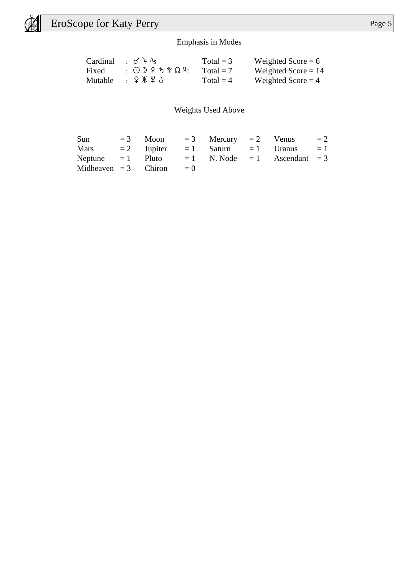$\bigcircledast$ 

# Emphasis in Modes

|       | Cardinal : $\sigma^4$ + $A_s$                                | Total = $3$ | Weighted Score $= 6$  |
|-------|--------------------------------------------------------------|-------------|-----------------------|
| Fixed | $\Omega_1 \odot \Omega_2 \not \subset \Omega_3$ . $\Omega_4$ | $Total = 7$ | Weighted Score $= 14$ |
|       | Mutable : $9 \cancel{1} \cancel{1} \cancel{2} \cancel{3}$    | Total = $4$ | Weighted Score $=$ 4  |

Weights Used Above

| Sun  |                       |       |  | $=3$ Moon $=3$ Mercury $=2$ Venus                       | $= 2$ |
|------|-----------------------|-------|--|---------------------------------------------------------|-------|
| Mars |                       |       |  | $= 2$ Jupiter $= 1$ Saturn $= 1$ Uranus $= 1$           |       |
|      |                       |       |  | Neptune $= 1$ Pluto $= 1$ N. Node $= 1$ Ascendant $= 3$ |       |
|      | Midheaven $=3$ Chiron | $= 0$ |  |                                                         |       |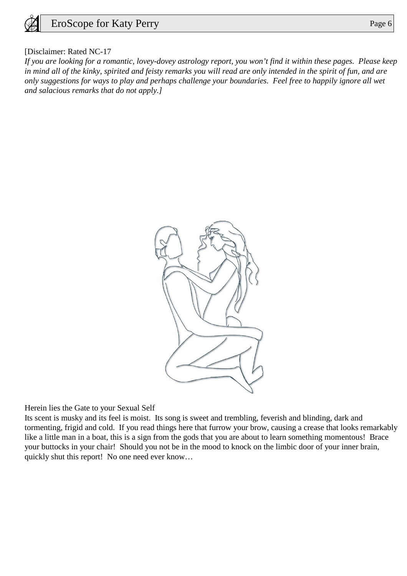

#### [Disclaimer: Rated NC-17

*If you are looking for a romantic, lovey-dovey astrology report, you won't find it within these pages. Please keep in mind all of the kinky, spirited and feisty remarks you will read are only intended in the spirit of fun, and are only suggestions for ways to play and perhaps challenge your boundaries. Feel free to happily ignore all wet and salacious remarks that do not apply.]*



Herein lies the Gate to your Sexual Self

Its scent is musky and its feel is moist. Its song is sweet and trembling, feverish and blinding, dark and tormenting, frigid and cold. If you read things here that furrow your brow, causing a crease that looks remarkably like a little man in a boat, this is a sign from the gods that you are about to learn something momentous! Brace your buttocks in your chair! Should you not be in the mood to knock on the limbic door of your inner brain, quickly shut this report! No one need ever know…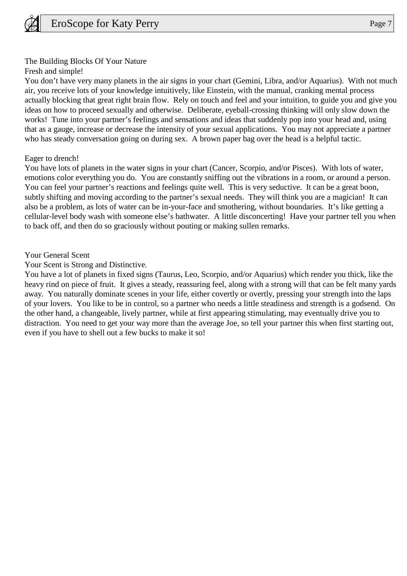

#### The Building Blocks Of Your Nature

Fresh and simple!

You don't have very many planets in the air signs in your chart (Gemini, Libra, and/or Aquarius). With not much air, you receive lots of your knowledge intuitively, like Einstein, with the manual, cranking mental process actually blocking that great right brain flow. Rely on touch and feel and your intuition, to guide you and give you ideas on how to proceed sexually and otherwise. Deliberate, eyeball-crossing thinking will only slow down the works! Tune into your partner's feelings and sensations and ideas that suddenly pop into your head and, using that as a gauge, increase or decrease the intensity of your sexual applications. You may not appreciate a partner who has steady conversation going on during sex. A brown paper bag over the head is a helpful tactic.

#### Eager to drench!

You have lots of planets in the water signs in your chart (Cancer, Scorpio, and/or Pisces). With lots of water, emotions color everything you do. You are constantly sniffing out the vibrations in a room, or around a person. You can feel your partner's reactions and feelings quite well. This is very seductive. It can be a great boon, subtly shifting and moving according to the partner's sexual needs. They will think you are a magician! It can also be a problem, as lots of water can be in-your-face and smothering, without boundaries. It's like getting a cellular-level body wash with someone else's bathwater. A little disconcerting! Have your partner tell you when to back off, and then do so graciously without pouting or making sullen remarks.

#### Your General Scent

Your Scent is Strong and Distinctive.

You have a lot of planets in fixed signs (Taurus, Leo, Scorpio, and/or Aquarius) which render you thick, like the heavy rind on piece of fruit. It gives a steady, reassuring feel, along with a strong will that can be felt many yards away. You naturally dominate scenes in your life, either covertly or overtly, pressing your strength into the laps of your lovers. You like to be in control, so a partner who needs a little steadiness and strength is a godsend. On the other hand, a changeable, lively partner, while at first appearing stimulating, may eventually drive you to distraction. You need to get your way more than the average Joe, so tell your partner this when first starting out, even if you have to shell out a few bucks to make it so!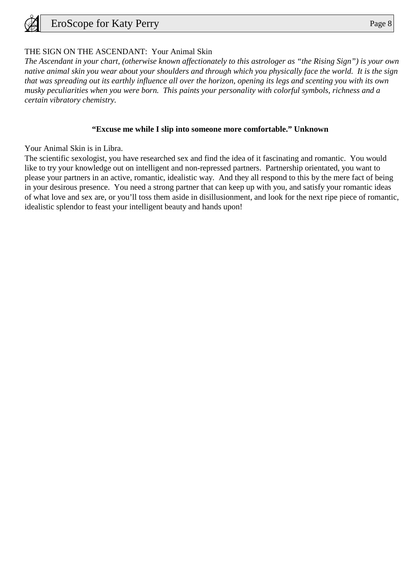

# THE SIGN ON THE ASCENDANT: Your Animal Skin

*The Ascendant in your chart, (otherwise known affectionately to this astrologer as "the Rising Sign") is your own native animal skin you wear about your shoulders and through which you physically face the world. It is the sign that was spreading out its earthly influence all over the horizon, opening its legs and scenting you with its own musky peculiarities when you were born. This paints your personality with colorful symbols, richness and a certain vibratory chemistry.*

#### **"Excuse me while I slip into someone more comfortable." Unknown**

Your Animal Skin is in Libra.

The scientific sexologist, you have researched sex and find the idea of it fascinating and romantic. You would like to try your knowledge out on intelligent and non-repressed partners. Partnership orientated, you want to please your partners in an active, romantic, idealistic way. And they all respond to this by the mere fact of being in your desirous presence. You need a strong partner that can keep up with you, and satisfy your romantic ideas of what love and sex are, or you'll toss them aside in disillusionment, and look for the next ripe piece of romantic, idealistic splendor to feast your intelligent beauty and hands upon!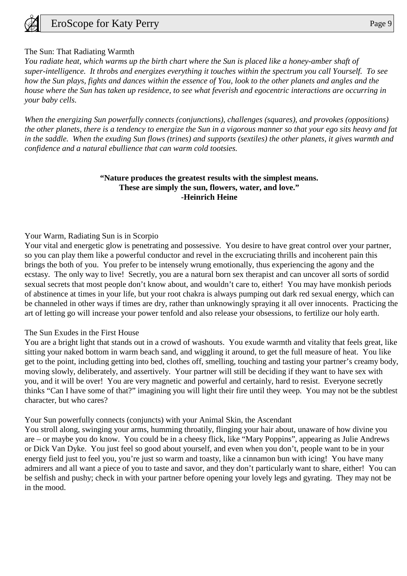

#### The Sun: That Radiating Warmth

*You radiate heat, which warms up the birth chart where the Sun is placed like a honey-amber shaft of super-intelligence. It throbs and energizes everything it touches within the spectrum you call Yourself. To see how the Sun plays, fights and dances within the essence of You, look to the other planets and angles and the house where the Sun has taken up residence, to see what feverish and egocentric interactions are occurring in your baby cells.*

*When the energizing Sun powerfully connects (conjunctions), challenges (squares), and provokes (oppositions) the other planets, there is a tendency to energize the Sun in a vigorous manner so that your ego sits heavy and fat in the saddle. When the exuding Sun flows (trines) and supports (sextiles) the other planets, it gives warmth and confidence and a natural ebullience that can warm cold tootsies.*

## **"Nature produces the greatest results with the simplest means. These are simply the sun, flowers, water, and love." -Heinrich Heine**

#### Your Warm, Radiating Sun is in Scorpio

Your vital and energetic glow is penetrating and possessive. You desire to have great control over your partner, so you can play them like a powerful conductor and revel in the excruciating thrills and incoherent pain this brings the both of you. You prefer to be intensely wrung emotionally, thus experiencing the agony and the ecstasy. The only way to live! Secretly, you are a natural born sex therapist and can uncover all sorts of sordid sexual secrets that most people don't know about, and wouldn't care to, either! You may have monkish periods of abstinence at times in your life, but your root chakra is always pumping out dark red sexual energy, which can be channeled in other ways if times are dry, rather than unknowingly spraying it all over innocents. Practicing the art of letting go will increase your power tenfold and also release your obsessions, to fertilize our holy earth.

#### The Sun Exudes in the First House

You are a bright light that stands out in a crowd of washouts. You exude warmth and vitality that feels great, like sitting your naked bottom in warm beach sand, and wiggling it around, to get the full measure of heat. You like get to the point, including getting into bed, clothes off, smelling, touching and tasting your partner's creamy body, moving slowly, deliberately, and assertively. Your partner will still be deciding if they want to have sex with you, and it will be over! You are very magnetic and powerful and certainly, hard to resist. Everyone secretly thinks "Can I have some of that?" imagining you will light their fire until they weep. You may not be the subtlest character, but who cares?

#### Your Sun powerfully connects (conjuncts) with your Animal Skin, the Ascendant

You stroll along, swinging your arms, humming throatily, flinging your hair about, unaware of how divine you are – or maybe you do know. You could be in a cheesy flick, like "Mary Poppins", appearing as Julie Andrews or Dick Van Dyke. You just feel so good about yourself, and even when you don't, people want to be in your energy field just to feel you, you're just so warm and toasty, like a cinnamon bun with icing! You have many admirers and all want a piece of you to taste and savor, and they don't particularly want to share, either! You can be selfish and pushy; check in with your partner before opening your lovely legs and gyrating. They may not be in the mood.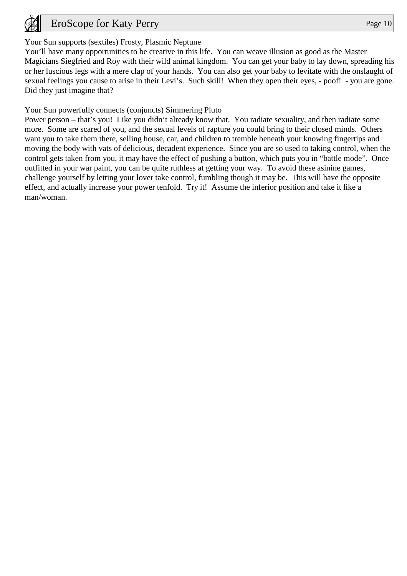

# Your Sun supports (sextiles) Frosty, Plasmic Neptune

You'll have many opportunities to be creative in this life. You can weave illusion as good as the Master Magicians Siegfried and Roy with their wild animal kingdom. You can get your baby to lay down, spreading his or her luscious legs with a mere clap of your hands. You can also get your baby to levitate with the onslaught of sexual feelings you cause to arise in their Levi's. Such skill! When they open their eyes, - poof! - you are gone. Did they just imagine that?

Your Sun powerfully connects (conjuncts) Simmering Pluto

Power person – that's you! Like you didn't already know that. You radiate sexuality, and then radiate some more. Some are scared of you, and the sexual levels of rapture you could bring to their closed minds. Others want you to take them there, selling house, car, and children to tremble beneath your knowing fingertips and moving the body with vats of delicious, decadent experience. Since you are so used to taking control, when the control gets taken from you, it may have the effect of pushing a button, which puts you in "battle mode". Once outfitted in your war paint, you can be quite ruthless at getting your way. To avoid these asinine games, challenge yourself by letting your lover take control, fumbling though it may be. This will have the opposite effect, and actually increase your power tenfold. Try it! Assume the inferior position and take it like a man/woman.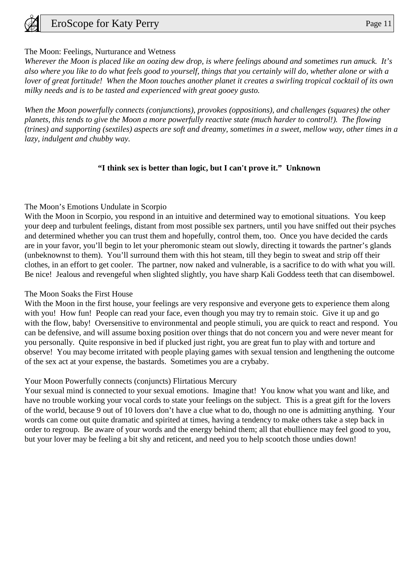

## The Moon: Feelings, Nurturance and Wetness

*Wherever the Moon is placed like an oozing dew drop, is where feelings abound and sometimes run amuck. It's also where you like to do what feels good to yourself, things that you certainly will do, whether alone or with a lover of great fortitude! When the Moon touches another planet it creates a swirling tropical cocktail of its own milky needs and is to be tasted and experienced with great gooey gusto.*

*When the Moon powerfully connects (conjunctions), provokes (oppositions), and challenges (squares) the other planets, this tends to give the Moon a more powerfully reactive state (much harder to control!). The flowing (trines) and supporting (sextiles) aspects are soft and dreamy, sometimes in a sweet, mellow way, other times in a lazy, indulgent and chubby way.*

## **"I think sex is better than logic, but I can't prove it." Unknown**

## The Moon's Emotions Undulate in Scorpio

With the Moon in Scorpio, you respond in an intuitive and determined way to emotional situations. You keep your deep and turbulent feelings, distant from most possible sex partners, until you have sniffed out their psyches and determined whether you can trust them and hopefully, control them, too. Once you have decided the cards are in your favor, you'll begin to let your pheromonic steam out slowly, directing it towards the partner's glands (unbeknownst to them). You'll surround them with this hot steam, till they begin to sweat and strip off their clothes, in an effort to get cooler. The partner, now naked and vulnerable, is a sacrifice to do with what you will. Be nice! Jealous and revengeful when slighted slightly, you have sharp Kali Goddess teeth that can disembowel.

#### The Moon Soaks the First House

With the Moon in the first house, your feelings are very responsive and everyone gets to experience them along with you! How fun! People can read your face, even though you may try to remain stoic. Give it up and go with the flow, baby! Oversensitive to environmental and people stimuli, you are quick to react and respond. You can be defensive, and will assume boxing position over things that do not concern you and were never meant for you personally. Quite responsive in bed if plucked just right, you are great fun to play with and torture and observe! You may become irritated with people playing games with sexual tension and lengthening the outcome of the sex act at your expense, the bastards. Sometimes you are a crybaby.

#### Your Moon Powerfully connects (conjuncts) Flirtatious Mercury

Your sexual mind is connected to your sexual emotions. Imagine that! You know what you want and like, and have no trouble working your vocal cords to state your feelings on the subject. This is a great gift for the lovers of the world, because 9 out of 10 lovers don't have a clue what to do, though no one is admitting anything. Your words can come out quite dramatic and spirited at times, having a tendency to make others take a step back in order to regroup. Be aware of your words and the energy behind them; all that ebullience may feel good to you, but your lover may be feeling a bit shy and reticent, and need you to help scootch those undies down!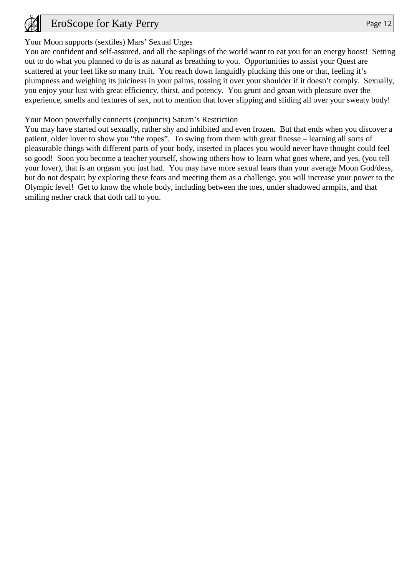

# Your Moon supports (sextiles) Mars' Sexual Urges

You are confident and self-assured, and all the saplings of the world want to eat you for an energy boost! Setting out to do what you planned to do is as natural as breathing to you. Opportunities to assist your Quest are scattered at your feet like so many fruit. You reach down languidly plucking this one or that, feeling it's plumpness and weighing its juiciness in your palms, tossing it over your shoulder if it doesn't comply. Sexually, you enjoy your lust with great efficiency, thirst, and potency. You grunt and groan with pleasure over the experience, smells and textures of sex, not to mention that lover slipping and sliding all over your sweaty body!

Your Moon powerfully connects (conjuncts) Saturn's Restriction

You may have started out sexually, rather shy and inhibited and even frozen. But that ends when you discover a patient, older lover to show you "the ropes". To swing from them with great finesse – learning all sorts of pleasurable things with different parts of your body, inserted in places you would never have thought could feel so good! Soon you become a teacher yourself, showing others how to learn what goes where, and yes, (you tell your lover), that is an orgasm you just had. You may have more sexual fears than your average Moon God/dess, but do not despair; by exploring these fears and meeting them as a challenge, you will increase your power to the Olympic level! Get to know the whole body, including between the toes, under shadowed armpits, and that smiling nether crack that doth call to you.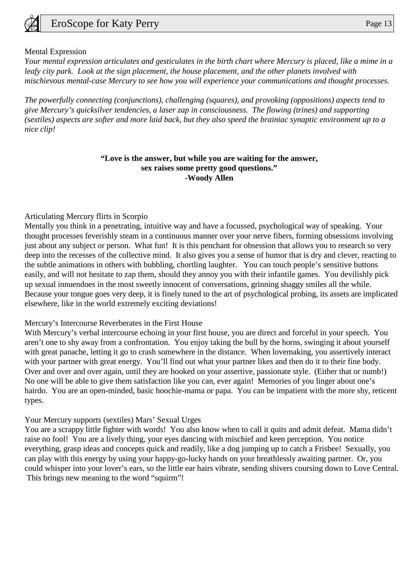

#### Mental Expression

*Your mental expression articulates and gesticulates in the birth chart where Mercury is placed, like a mime in a leafy city park. Look at the sign placement, the house placement, and the other planets involved with mischievous mental-case Mercury to see how you will experience your communications and thought processes.*

*The powerfully connecting (conjunctions), challenging (squares), and provoking (oppositions) aspects tend to give Mercury's quicksilver tendencies, a laser zap in consciousness. The flowing (trines) and supporting (sextiles) aspects are softer and more laid back, but they also speed the brainiac synaptic environment up to a nice clip!*

#### **"Love is the answer, but while you are waiting for the answer, sex raises some pretty good questions." -Woody Allen**

Articulating Mercury flirts in Scorpio

Mentally you think in a penetrating, intuitive way and have a focussed, psychological way of speaking. Your thought processes feverishly steam in a continuous manner over your nerve fibers, forming obsessions involving just about any subject or person. What fun! It is this penchant for obsession that allows you to research so very deep into the recesses of the collective mind. It also gives you a sense of humor that is dry and clever, reacting to the subtle animations in others with bubbling, chortling laughter. You can touch people's sensitive buttons easily, and will not hesitate to zap them, should they annoy you with their infantile games. You devilishly pick up sexual innuendoes in the most sweetly innocent of conversations, grinning shaggy smiles all the while. Because your tongue goes very deep, it is finely tuned to the art of psychological probing, its assets are implicated elsewhere, like in the world extremely exciting deviations!

#### Mercury's Intercourse Reverberates in the First House

With Mercury's verbal intercourse echoing in your first house, you are direct and forceful in your speech. You aren't one to shy away from a confrontation. You enjoy taking the bull by the horns, swinging it about yourself with great panache, letting it go to crash somewhere in the distance. When lovemaking, you assertively interact with your partner with great energy. You'll find out what your partner likes and then do it to their fine body. Over and over and over again, until they are hooked on your assertive, passionate style. (Either that or numb!) No one will be able to give them satisfaction like you can, ever again! Memories of you linger about one's hairdo. You are an open-minded, basic hoochie-mama or papa. You can be impatient with the more shy, reticent types.

#### Your Mercury supports (sextiles) Mars' Sexual Urges

You are a scrappy little fighter with words! You also know when to call it quits and admit defeat. Mama didn't raise no fool! You are a lively thing, your eyes dancing with mischief and keen perception. You notice everything, grasp ideas and concepts quick and readily, like a dog jumping up to catch a Frisbee! Sexually, you can play with this energy by using your happy-go-lucky hands on your breathlessly awaiting partner. Or, you could whisper into your lover's ears, so the little ear hairs vibrate, sending shivers coursing down to Love Central. This brings new meaning to the word "squirm"!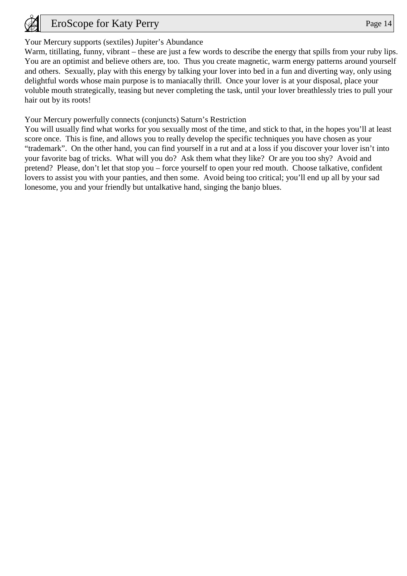

# Your Mercury supports (sextiles) Jupiter's Abundance

Warm, titillating, funny, vibrant – these are just a few words to describe the energy that spills from your ruby lips. You are an optimist and believe others are, too. Thus you create magnetic, warm energy patterns around yourself and others. Sexually, play with this energy by talking your lover into bed in a fun and diverting way, only using delightful words whose main purpose is to maniacally thrill. Once your lover is at your disposal, place your voluble mouth strategically, teasing but never completing the task, until your lover breathlessly tries to pull your hair out by its roots!

Your Mercury powerfully connects (conjuncts) Saturn's Restriction

You will usually find what works for you sexually most of the time, and stick to that, in the hopes you'll at least score once. This is fine, and allows you to really develop the specific techniques you have chosen as your "trademark". On the other hand, you can find yourself in a rut and at a loss if you discover your lover isn't into your favorite bag of tricks. What will you do? Ask them what they like? Or are you too shy? Avoid and pretend? Please, don't let that stop you – force yourself to open your red mouth. Choose talkative, confident lovers to assist you with your panties, and then some. Avoid being too critical; you'll end up all by your sad lonesome, you and your friendly but untalkative hand, singing the banjo blues.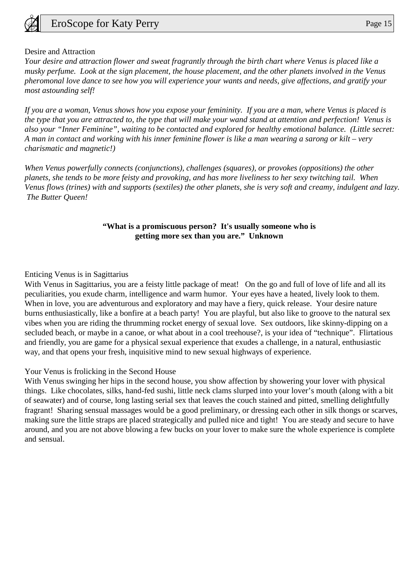

#### Desire and Attraction

*Your desire and attraction flower and sweat fragrantly through the birth chart where Venus is placed like a musky perfume. Look at the sign placement, the house placement, and the other planets involved in the Venus pheromonal love dance to see how you will experience your wants and needs, give affections, and gratify your most astounding self!*

*If you are a woman, Venus shows how you expose your femininity. If you are a man, where Venus is placed is the type that you are attracted to, the type that will make your wand stand at attention and perfection! Venus is also your "Inner Feminine", waiting to be contacted and explored for healthy emotional balance. (Little secret: A man in contact and working with his inner feminine flower is like a man wearing a sarong or kilt – very charismatic and magnetic!)*

*When Venus powerfully connects (conjunctions), challenges (squares), or provokes (oppositions) the other planets, she tends to be more feisty and provoking, and has more liveliness to her sexy twitching tail. When Venus flows (trines) with and supports (sextiles) the other planets, she is very soft and creamy, indulgent and lazy. The Butter Queen!*

## **"What is a promiscuous person? It's usually someone who is getting more sex than you are." Unknown**

#### Enticing Venus is in Sagittarius

With Venus in Sagittarius, you are a feisty little package of meat! On the go and full of love of life and all its peculiarities, you exude charm, intelligence and warm humor. Your eyes have a heated, lively look to them. When in love, you are adventurous and exploratory and may have a fiery, quick release. Your desire nature burns enthusiastically, like a bonfire at a beach party! You are playful, but also like to groove to the natural sex vibes when you are riding the thrumming rocket energy of sexual love. Sex outdoors, like skinny-dipping on a secluded beach, or maybe in a canoe, or what about in a cool treehouse?, is your idea of "technique". Flirtatious and friendly, you are game for a physical sexual experience that exudes a challenge, in a natural, enthusiastic way, and that opens your fresh, inquisitive mind to new sexual highways of experience.

#### Your Venus is frolicking in the Second House

With Venus swinging her hips in the second house, you show affection by showering your lover with physical things. Like chocolates, silks, hand-fed sushi, little neck clams slurped into your lover's mouth (along with a bit of seawater) and of course, long lasting serial sex that leaves the couch stained and pitted, smelling delightfully fragrant! Sharing sensual massages would be a good preliminary, or dressing each other in silk thongs or scarves, making sure the little straps are placed strategically and pulled nice and tight! You are steady and secure to have around, and you are not above blowing a few bucks on your lover to make sure the whole experience is complete and sensual.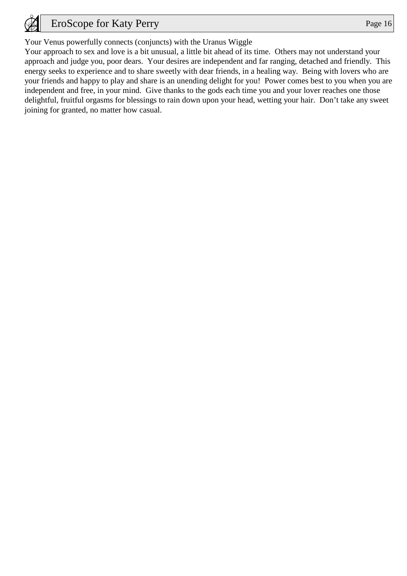

Your Venus powerfully connects (conjuncts) with the Uranus Wiggle

Your approach to sex and love is a bit unusual, a little bit ahead of its time. Others may not understand your approach and judge you, poor dears. Your desires are independent and far ranging, detached and friendly. This energy seeks to experience and to share sweetly with dear friends, in a healing way. Being with lovers who are your friends and happy to play and share is an unending delight for you! Power comes best to you when you are independent and free, in your mind. Give thanks to the gods each time you and your lover reaches one those delightful, fruitful orgasms for blessings to rain down upon your head, wetting your hair. Don't take any sweet joining for granted, no matter how casual.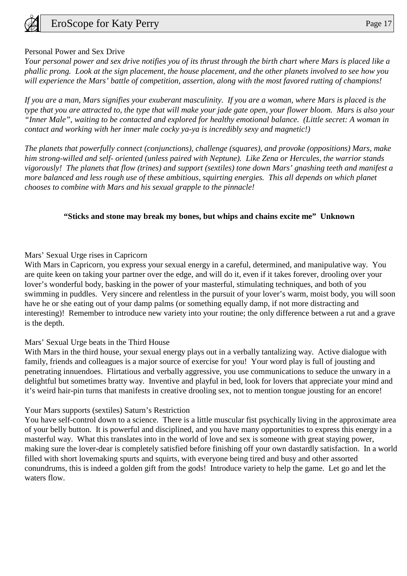# Personal Power and Sex Drive

*Your personal power and sex drive notifies you of its thrust through the birth chart where Mars is placed like a phallic prong. Look at the sign placement, the house placement, and the other planets involved to see how you will experience the Mars' battle of competition, assertion, along with the most favored rutting of champions!*

*If you are a man, Mars signifies your exuberant masculinity. If you are a woman, where Mars is placed is the type that you are attracted to, the type that will make your jade gate open, your flower bloom. Mars is also your "Inner Male", waiting to be contacted and explored for healthy emotional balance. (Little secret: A woman in contact and working with her inner male cocky ya-ya is incredibly sexy and magnetic!)*

*The planets that powerfully connect (conjunctions), challenge (squares), and provoke (oppositions) Mars, make him strong-willed and self- oriented (unless paired with Neptune). Like Zena or Hercules, the warrior stands vigorously! The planets that flow (trines) and support (sextiles) tone down Mars' gnashing teeth and manifest a more balanced and less rough use of these ambitious, squirting energies. This all depends on which planet chooses to combine with Mars and his sexual grapple to the pinnacle!*

# **"Sticks and stone may break my bones, but whips and chains excite me" Unknown**

# Mars' Sexual Urge rises in Capricorn

With Mars in Capricorn, you express your sexual energy in a careful, determined, and manipulative way. You are quite keen on taking your partner over the edge, and will do it, even if it takes forever, drooling over your lover's wonderful body, basking in the power of your masterful, stimulating techniques, and both of you swimming in puddles. Very sincere and relentless in the pursuit of your lover's warm, moist body, you will soon have he or she eating out of your damp palms (or something equally damp, if not more distracting and interesting)! Remember to introduce new variety into your routine; the only difference between a rut and a grave is the depth.

# Mars' Sexual Urge beats in the Third House

With Mars in the third house, your sexual energy plays out in a verbally tantalizing way. Active dialogue with family, friends and colleagues is a major source of exercise for you! Your word play is full of jousting and penetrating innuendoes. Flirtatious and verbally aggressive, you use communications to seduce the unwary in a delightful but sometimes bratty way. Inventive and playful in bed, look for lovers that appreciate your mind and it's weird hair-pin turns that manifests in creative drooling sex, not to mention tongue jousting for an encore!

# Your Mars supports (sextiles) Saturn's Restriction

You have self-control down to a science. There is a little muscular fist psychically living in the approximate area of your belly button. It is powerful and disciplined, and you have many opportunities to express this energy in a masterful way. What this translates into in the world of love and sex is someone with great staying power, making sure the lover-dear is completely satisfied before finishing off your own dastardly satisfaction. In a world filled with short lovemaking spurts and squirts, with everyone being tired and busy and other assorted conundrums, this is indeed a golden gift from the gods! Introduce variety to help the game. Let go and let the waters flow.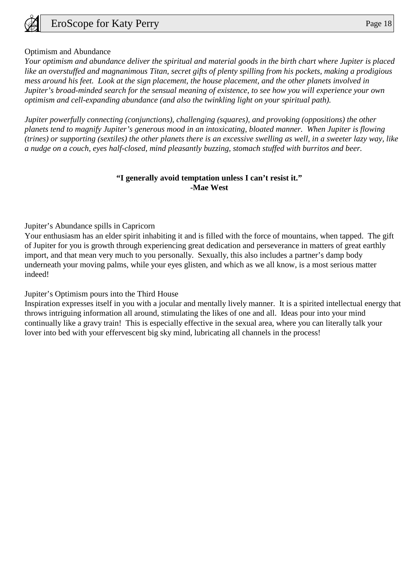

## Optimism and Abundance

*Your optimism and abundance deliver the spiritual and material goods in the birth chart where Jupiter is placed like an overstuffed and magnanimous Titan, secret gifts of plenty spilling from his pockets, making a prodigious mess around his feet. Look at the sign placement, the house placement, and the other planets involved in Jupiter's broad-minded search for the sensual meaning of existence, to see how you will experience your own optimism and cell-expanding abundance (and also the twinkling light on your spiritual path).*

*Jupiter powerfully connecting (conjunctions), challenging (squares), and provoking (oppositions) the other planets tend to magnify Jupiter's generous mood in an intoxicating, bloated manner. When Jupiter is flowing (trines) or supporting (sextiles) the other planets there is an excessive swelling as well, in a sweeter lazy way, like a nudge on a couch, eyes half-closed, mind pleasantly buzzing, stomach stuffed with burritos and beer.*

# **"I generally avoid temptation unless I can't resist it." -Mae West**

Jupiter's Abundance spills in Capricorn

Your enthusiasm has an elder spirit inhabiting it and is filled with the force of mountains, when tapped. The gift of Jupiter for you is growth through experiencing great dedication and perseverance in matters of great earthly import, and that mean very much to you personally. Sexually, this also includes a partner's damp body underneath your moving palms, while your eyes glisten, and which as we all know, is a most serious matter indeed!

Jupiter's Optimism pours into the Third House

Inspiration expresses itself in you with a jocular and mentally lively manner. It is a spirited intellectual energy that throws intriguing information all around, stimulating the likes of one and all. Ideas pour into your mind continually like a gravy train! This is especially effective in the sexual area, where you can literally talk your lover into bed with your effervescent big sky mind, lubricating all channels in the process!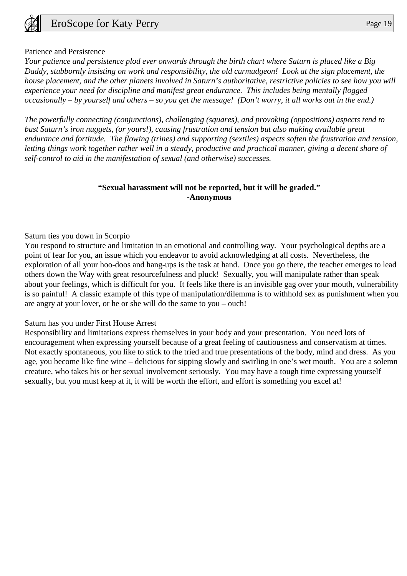

#### Patience and Persistence

*Your patience and persistence plod ever onwards through the birth chart where Saturn is placed like a Big Daddy, stubbornly insisting on work and responsibility, the old curmudgeon! Look at the sign placement, the house placement, and the other planets involved in Saturn's authoritative, restrictive policies to see how you will experience your need for discipline and manifest great endurance. This includes being mentally flogged occasionally – by yourself and others – so you get the message! (Don't worry, it all works out in the end.)*

*The powerfully connecting (conjunctions), challenging (squares), and provoking (oppositions) aspects tend to bust Saturn's iron nuggets, (or yours!), causing frustration and tension but also making available great endurance and fortitude. The flowing (trines) and supporting (sextiles) aspects soften the frustration and tension, letting things work together rather well in a steady, productive and practical manner, giving a decent share of self-control to aid in the manifestation of sexual (and otherwise) successes.*

## **"Sexual harassment will not be reported, but it will be graded." -Anonymous**

#### Saturn ties you down in Scorpio

You respond to structure and limitation in an emotional and controlling way. Your psychological depths are a point of fear for you, an issue which you endeavor to avoid acknowledging at all costs. Nevertheless, the exploration of all your hoo-doos and hang-ups is the task at hand. Once you go there, the teacher emerges to lead others down the Way with great resourcefulness and pluck! Sexually, you will manipulate rather than speak about your feelings, which is difficult for you. It feels like there is an invisible gag over your mouth, vulnerability is so painful! A classic example of this type of manipulation/dilemma is to withhold sex as punishment when you are angry at your lover, or he or she will do the same to you – ouch!

#### Saturn has you under First House Arrest

Responsibility and limitations express themselves in your body and your presentation. You need lots of encouragement when expressing yourself because of a great feeling of cautiousness and conservatism at times. Not exactly spontaneous, you like to stick to the tried and true presentations of the body, mind and dress. As you age, you become like fine wine – delicious for sipping slowly and swirling in one's wet mouth. You are a solemn creature, who takes his or her sexual involvement seriously. You may have a tough time expressing yourself sexually, but you must keep at it, it will be worth the effort, and effort is something you excel at!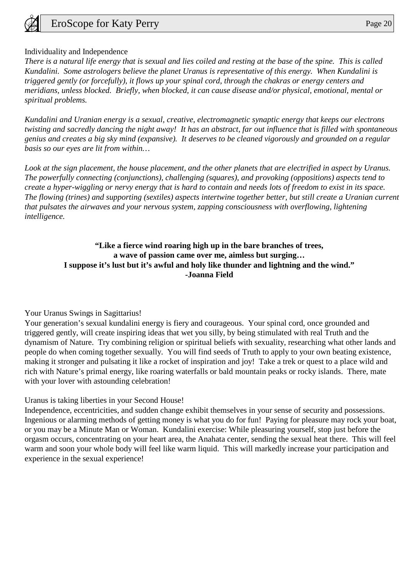

# Individuality and Independence

*There is a natural life energy that is sexual and lies coiled and resting at the base of the spine. This is called Kundalini. Some astrologers believe the planet Uranus is representative of this energy. When Kundalini is triggered gently (or forcefully), it flows up your spinal cord, through the chakras or energy centers and meridians, unless blocked. Briefly, when blocked, it can cause disease and/or physical, emotional, mental or spiritual problems.*

*Kundalini and Uranian energy is a sexual, creative, electromagnetic synaptic energy that keeps our electrons twisting and sacredly dancing the night away! It has an abstract, far out influence that is filled with spontaneous genius and creates a big sky mind (expansive). It deserves to be cleaned vigorously and grounded on a regular basis so our eyes are lit from within…*

Look at the sign placement, the house placement, and the other planets that are electrified in aspect by Uranus. *The powerfully connecting (conjunctions), challenging (squares), and provoking (oppositions) aspects tend to create a hyper-wiggling or nervy energy that is hard to contain and needs lots of freedom to exist in its space. The flowing (trines) and supporting (sextiles) aspects intertwine together better, but still create a Uranian current that pulsates the airwaves and your nervous system, zapping consciousness with overflowing, lightening intelligence.*

# **"Like a fierce wind roaring high up in the bare branches of trees, a wave of passion came over me, aimless but surging… I suppose it's lust but it's awful and holy like thunder and lightning and the wind." -Joanna Field**

#### Your Uranus Swings in Sagittarius!

Your generation's sexual kundalini energy is fiery and courageous. Your spinal cord, once grounded and triggered gently, will create inspiring ideas that wet you silly, by being stimulated with real Truth and the dynamism of Nature. Try combining religion or spiritual beliefs with sexuality, researching what other lands and people do when coming together sexually. You will find seeds of Truth to apply to your own beating existence, making it stronger and pulsating it like a rocket of inspiration and joy! Take a trek or quest to a place wild and rich with Nature's primal energy, like roaring waterfalls or bald mountain peaks or rocky islands. There, mate with your lover with astounding celebration!

Uranus is taking liberties in your Second House!

Independence, eccentricities, and sudden change exhibit themselves in your sense of security and possessions. Ingenious or alarming methods of getting money is what you do for fun! Paying for pleasure may rock your boat, or you may be a Minute Man or Woman. Kundalini exercise: While pleasuring yourself, stop just before the orgasm occurs, concentrating on your heart area, the Anahata center, sending the sexual heat there. This will feel warm and soon your whole body will feel like warm liquid. This will markedly increase your participation and experience in the sexual experience!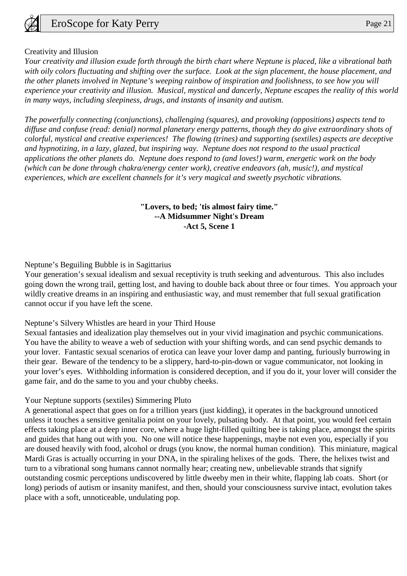# Creativity and Illusion

*Your creativity and illusion exude forth through the birth chart where Neptune is placed, like a vibrational bath with oily colors fluctuating and shifting over the surface. Look at the sign placement, the house placement, and the other planets involved in Neptune's weeping rainbow of inspiration and foolishness, to see how you will experience your creativity and illusion. Musical, mystical and dancerly, Neptune escapes the reality of this world in many ways, including sleepiness, drugs, and instants of insanity and autism.*

*The powerfully connecting (conjunctions), challenging (squares), and provoking (oppositions) aspects tend to diffuse and confuse (read: denial) normal planetary energy patterns, though they do give extraordinary shots of colorful, mystical and creative experiences! The flowing (trines) and supporting (sextiles) aspects are deceptive and hypnotizing, in a lazy, glazed, but inspiring way. Neptune does not respond to the usual practical applications the other planets do. Neptune does respond to (and loves!) warm, energetic work on the body (which can be done through chakra/energy center work), creative endeavors (ah, music!), and mystical experiences, which are excellent channels for it's very magical and sweetly psychotic vibrations.*

# **"Lovers, to bed; 'tis almost fairy time." --A Midsummer Night's Dream -Act 5, Scene 1**

# Neptune's Beguiling Bubble is in Sagittarius

Your generation's sexual idealism and sexual receptivity is truth seeking and adventurous. This also includes going down the wrong trail, getting lost, and having to double back about three or four times. You approach your wildly creative dreams in an inspiring and enthusiastic way, and must remember that full sexual gratification cannot occur if you have left the scene.

# Neptune's Silvery Whistles are heard in your Third House

Sexual fantasies and idealization play themselves out in your vivid imagination and psychic communications. You have the ability to weave a web of seduction with your shifting words, and can send psychic demands to your lover. Fantastic sexual scenarios of erotica can leave your lover damp and panting, furiously burrowing in their gear. Beware of the tendency to be a slippery, hard-to-pin-down or vague communicator, not looking in your lover's eyes. Withholding information is considered deception, and if you do it, your lover will consider the game fair, and do the same to you and your chubby cheeks.

# Your Neptune supports (sextiles) Simmering Pluto

A generational aspect that goes on for a trillion years (just kidding), it operates in the background unnoticed unless it touches a sensitive genitalia point on your lovely, pulsating body. At that point, you would feel certain effects taking place at a deep inner core, where a huge light-filled quilting bee is taking place, amongst the spirits and guides that hang out with you. No one will notice these happenings, maybe not even you, especially if you are doused heavily with food, alcohol or drugs (you know, the normal human condition). This miniature, magical Mardi Gras is actually occurring in your DNA, in the spiraling helixes of the gods. There, the helixes twist and turn to a vibrational song humans cannot normally hear; creating new, unbelievable strands that signify outstanding cosmic perceptions undiscovered by little dweeby men in their white, flapping lab coats. Short (or long) periods of autism or insanity manifest, and then, should your consciousness survive intact, evolution takes place with a soft, unnoticeable, undulating pop.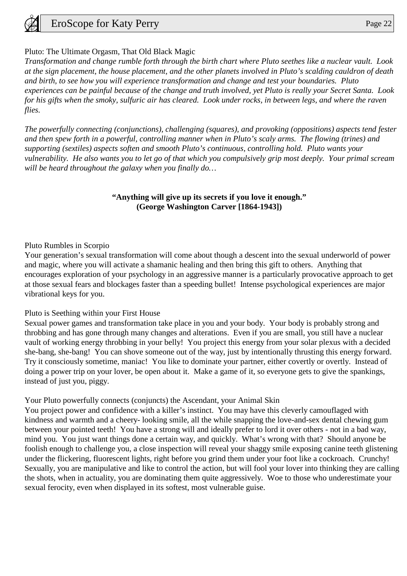

## Pluto: The Ultimate Orgasm, That Old Black Magic

*Transformation and change rumble forth through the birth chart where Pluto seethes like a nuclear vault. Look at the sign placement, the house placement, and the other planets involved in Pluto's scalding cauldron of death and birth, to see how you will experience transformation and change and test your boundaries. Pluto experiences can be painful because of the change and truth involved, yet Pluto is really your Secret Santa. Look for his gifts when the smoky, sulfuric air has cleared. Look under rocks, in between legs, and where the raven flies.*

*The powerfully connecting (conjunctions), challenging (squares), and provoking (oppositions) aspects tend fester and then spew forth in a powerful, controlling manner when in Pluto's scaly arms. The flowing (trines) and supporting (sextiles) aspects soften and smooth Pluto's continuous, controlling hold. Pluto wants your vulnerability. He also wants you to let go of that which you compulsively grip most deeply. Your primal scream will be heard throughout the galaxy when you finally do…*

#### **"Anything will give up its secrets if you love it enough." (George Washington Carver [1864-1943])**

#### Pluto Rumbles in Scorpio

Your generation's sexual transformation will come about though a descent into the sexual underworld of power and magic, where you will activate a shamanic healing and then bring this gift to others. Anything that encourages exploration of your psychology in an aggressive manner is a particularly provocative approach to get at those sexual fears and blockages faster than a speeding bullet! Intense psychological experiences are major vibrational keys for you.

#### Pluto is Seething within your First House

Sexual power games and transformation take place in you and your body. Your body is probably strong and throbbing and has gone through many changes and alterations. Even if you are small, you still have a nuclear vault of working energy throbbing in your belly! You project this energy from your solar plexus with a decided she-bang, she-bang! You can shove someone out of the way, just by intentionally thrusting this energy forward. Try it consciously sometime, maniac! You like to dominate your partner, either covertly or overtly. Instead of doing a power trip on your lover, be open about it. Make a game of it, so everyone gets to give the spankings, instead of just you, piggy.

#### Your Pluto powerfully connects (conjuncts) the Ascendant, your Animal Skin

You project power and confidence with a killer's instinct. You may have this cleverly camouflaged with kindness and warmth and a cheery- looking smile, all the while snapping the love-and-sex dental chewing gum between your pointed teeth! You have a strong will and ideally prefer to lord it over others - not in a bad way, mind you. You just want things done a certain way, and quickly. What's wrong with that? Should anyone be foolish enough to challenge you, a close inspection will reveal your shaggy smile exposing canine teeth glistening under the flickering, fluorescent lights, right before you grind them under your foot like a cockroach. Crunchy! Sexually, you are manipulative and like to control the action, but will fool your lover into thinking they are calling the shots, when in actuality, you are dominating them quite aggressively. Woe to those who underestimate your sexual ferocity, even when displayed in its softest, most vulnerable guise.